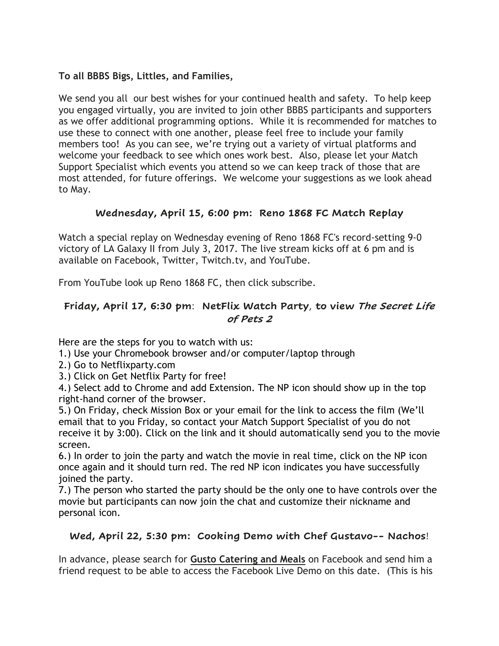# **To all BBBS Bigs, Littles, and Families,**

We send you all our best wishes for your continued health and safety. To help keep you engaged virtually, you are invited to join other BBBS participants and supporters as we offer additional programming options. While it is recommended for matches to use these to connect with one another, please feel free to include your family members too! As you can see, we're trying out a variety of virtual platforms and welcome your feedback to see which ones work best. Also, please let your Match Support Specialist which events you attend so we can keep track of those that are most attended, for future offerings. We welcome your suggestions as we look ahead to May.

# **Wednesday, April 15, 6:00 pm: Reno 1868 FC Match Replay**

Watch a special replay on Wednesday evening of Reno 1868 FC's record-setting 9-0 victory of LA Galaxy II from July 3, 2017. The live stream kicks off at 6 pm and is available on Facebook, Twitter, Twitch.tv, and YouTube.

From YouTube look up Reno 1868 FC, then click subscribe.

# **Friday, April 17, 6:30 pm**: **NetFlix Watch Party**, **to view The Secret Life of Pets 2**

Here are the steps for you to watch with us:

1.) Use your Chromebook browser and/or computer/laptop through

- 2.) Go to Netflixparty.com
- 3.) Click on Get Netflix Party for free!

4.) Select add to Chrome and add Extension. The NP icon should show up in the top right-hand corner of the browser.

5.) On Friday, check Mission Box or your email for the link to access the film (We'll email that to you Friday, so contact your Match Support Specialist of you do not receive it by 3:00). Click on the link and it should automatically send you to the movie screen.

6.) In order to join the party and watch the movie in real time, click on the NP icon once again and it should turn red. The red NP icon indicates you have successfully joined the party.

7.) The person who started the party should be the only one to have controls over the movie but participants can now join the chat and customize their nickname and personal icon.

### **Wed, April 22, 5:30 pm: Cooking Demo with Chef Gustavo-- Nachos**!

In advance, please search for **Gusto Catering and Meals** on Facebook and send him a friend request to be able to access the Facebook Live Demo on this date. (This is his